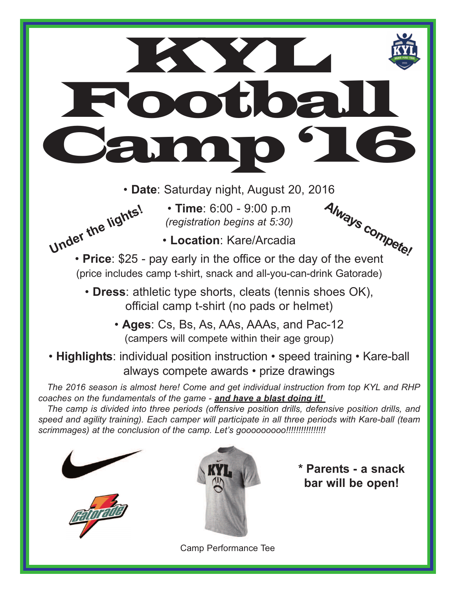## **KYLIKE** Football Camp '16

- **Date**: Saturday night, August 20, 2016
	- **Time**: 6:00 9:00 p.m *(registration begins at 5:30)*



• **Location**: Kare/Arcadia



- **Dress**: athletic type shorts, cleats (tennis shoes OK), official camp t-shirt (no pads or helmet)
	- **Ages**: Cs, Bs, As, AAs, AAAs, and Pac-12 (campers will compete within their age group)
- **Highlights**: individual position instruction speed training Kare-ball always compete awards • prize drawings

*The 2016 season is almost here! Come and get individual instruction from top KYL and RHP coaches on the fundamentals of the game - and have a blast doing it!* 

*The camp is divided into three periods (offensive position drills, defensive position drills, and speed and agility training). Each camper will participate in all three periods with Kare-ball (team scrimmages) at the conclusion of the camp. Let's gooooooooo!!!!!!!!!!!!!!!!*





**\* Parents - a snack bar will be open!**

Camp Performance Tee